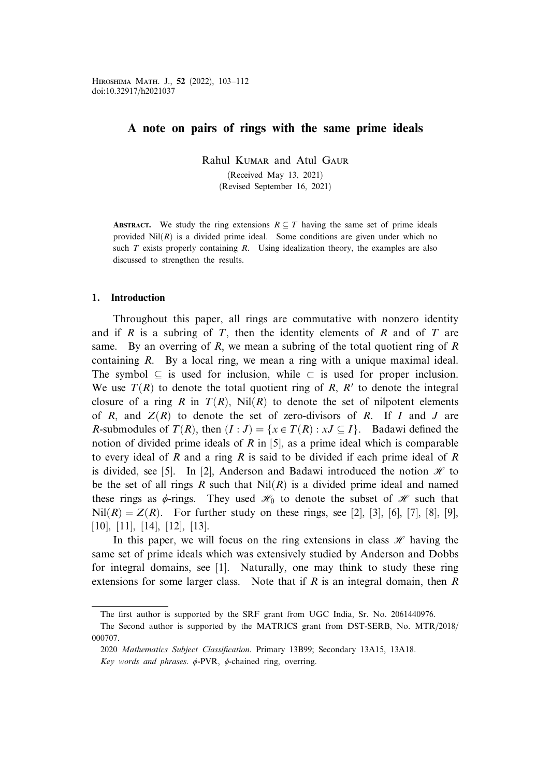## A note on pairs of rings with the same prime ideals

Rahul Kumar and Atul Gaur

(Received May 13, 2021)

(Revised September 16, 2021)

**ABSTRACT.** We study the ring extensions  $R \subseteq T$  having the same set of prime ideals provided  $Nil(R)$  is a divided prime ideal. Some conditions are given under which no such  $T$  exists properly containing  $R$ . Using idealization theory, the examples are also discussed to strengthen the results.

## 1. Introduction

Throughout this paper, all rings are commutative with nonzero identity and if R is a subring of T, then the identity elements of R and of T are same. By an overring of  $R$ , we mean a subring of the total quotient ring of  $R$ containing R. By a local ring, we mean a ring with a unique maximal ideal. The symbol  $\subseteq$  is used for inclusion, while  $\subset$  is used for proper inclusion. We use  $T(R)$  to denote the total quotient ring of R, R' to denote the integral closure of a ring R in  $T(R)$ , Nil $(R)$  to denote the set of nilpotent elements of R, and  $Z(R)$  to denote the set of zero-divisors of R. If I and J are R-submodules of  $T(R)$ , then  $(I:J) = \{x \in T(R) : xJ \subseteq I\}$ . Badawi defined the notion of divided prime ideals of R in [5], as a prime ideal which is comparable to every ideal of R and a ring R is said to be divided if each prime ideal of R is divided, see [5]. In [2], Anderson and Badawi introduced the notion  $\mathcal{H}$  to be the set of all rings R such that  $Nil(R)$  is a divided prime ideal and named these rings as  $\phi$ -rings. They used  $\mathcal{H}_0$  to denote the subset of  $\mathcal{H}$  such that  $Nil(R) = Z(R)$ . For further study on these rings, see [2], [3], [6], [7], [8], [9], [10], [11], [14], [12], [13].

In this paper, we will focus on the ring extensions in class  $\mathcal{H}$  having the same set of prime ideals which was extensively studied by Anderson and Dobbs for integral domains, see [1]. Naturally, one may think to study these ring extensions for some larger class. Note that if  $R$  is an integral domain, then  $R$ 

The first author is supported by the SRF grant from UGC India, Sr. No. 2061440976.

The Second author is supported by the MATRICS grant from DST-SERB, No. MTR/2018/ 000707.

<sup>2020</sup> Mathematics Subject Classification. Primary 13B99; Secondary 13A15, 13A18.

Key words and phrases.  $\phi$ -PVR,  $\phi$ -chained ring, overring.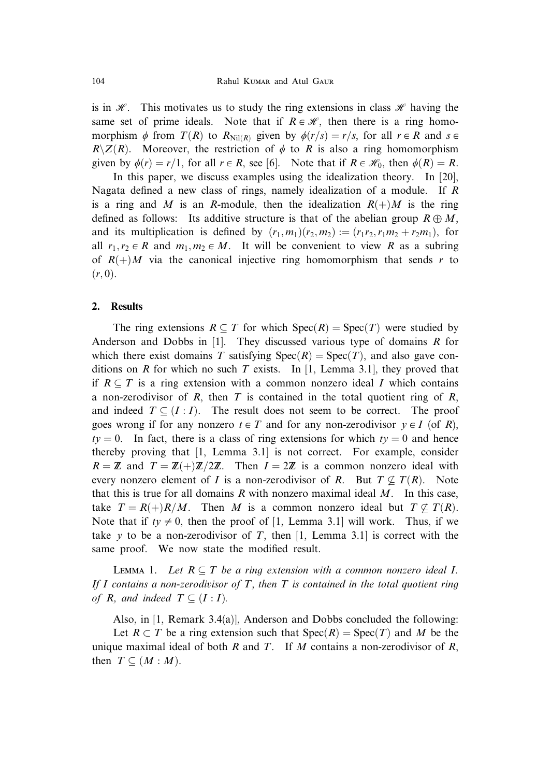is in  $\mathcal{H}$ . This motivates us to study the ring extensions in class  $\mathcal{H}$  having the same set of prime ideals. Note that if  $R \in \mathcal{H}$ , then there is a ring homomorphism  $\phi$  from  $T(R)$  to  $R_{\text{Nil}(R)}$  given by  $\phi(r/s)=r/s$ , for all  $r \in R$  and  $s \in R$  $R\setminus Z(R)$ . Moreover, the restriction of  $\phi$  to R is also a ring homomorphism given by  $\phi(r) = r/1$ , for all  $r \in R$ , see [6]. Note that if  $R \in \mathcal{H}_0$ , then  $\phi(R) = R$ .

In this paper, we discuss examples using the idealization theory. In [20], Nagata defined a new class of rings, namely idealization of a module. If R is a ring and M is an R-module, then the idealization  $R(+)M$  is the ring defined as follows: Its additive structure is that of the abelian group  $R \oplus M$ , and its multiplication is defined by  $(r_1,m_1)(r_2,m_2):=(r_1r_2,r_1m_2+r_2m_1)$ , for all  $r_1, r_2 \in R$  and  $m_1, m_2 \in M$ . It will be convenient to view R as a subring of  $R(+)M$  via the canonical injective ring homomorphism that sends r to  $(r, 0).$ 

## 2. Results

The ring extensions  $R \subseteq T$  for which  $Spec(R) = Spec(T)$  were studied by Anderson and Dobbs in  $[1]$ . They discussed various type of domains R for which there exist domains T satisfying  $Spec(R) = Spec(T)$ , and also gave conditions on R for which no such T exists. In [1, Lemma 3.1], they proved that if  $R \subseteq T$  is a ring extension with a common nonzero ideal I which contains a non-zerodivisor of R, then T is contained in the total quotient ring of R, and indeed  $T \subseteq (I : I)$ . The result does not seem to be correct. The proof goes wrong if for any nonzero  $t \in T$  and for any non-zerodivisor  $y \in I$  (of R),  $ty = 0$ . In fact, there is a class of ring extensions for which  $ty = 0$  and hence thereby proving that [1, Lemma 3.1] is not correct. For example, consider  $R = \mathbb{Z}$  and  $T = \mathbb{Z}(+) \mathbb{Z}/2\mathbb{Z}$ . Then  $I = 2\mathbb{Z}$  is a common nonzero ideal with every nonzero element of I is a non-zerodivisor of R. But  $T \nsubseteq T(R)$ . Note that this is true for all domains  $R$  with nonzero maximal ideal  $M$ . In this case, take  $T = R(+)R/M$ . Then M is a common nonzero ideal but  $T \nsubseteq T(R)$ . Note that if  $ty \neq 0$ , then the proof of [1, Lemma 3.1] will work. Thus, if we take y to be a non-zerodivisor of T, then [1, Lemma 3.1] is correct with the same proof. We now state the modified result.

LEMMA 1. Let  $R \subseteq T$  be a ring extension with a common nonzero ideal I. If I contains a non-zerodivisor of T, then T is contained in the total quotient ring of R, and indeed  $T \subseteq (I : I)$ .

Also, in [1, Remark 3.4(a)], Anderson and Dobbs concluded the following:

Let  $R \subset T$  be a ring extension such that  $Spec(R) = Spec(T)$  and M be the unique maximal ideal of both R and T. If M contains a non-zerodivisor of R, then  $T \subseteq (M : M)$ .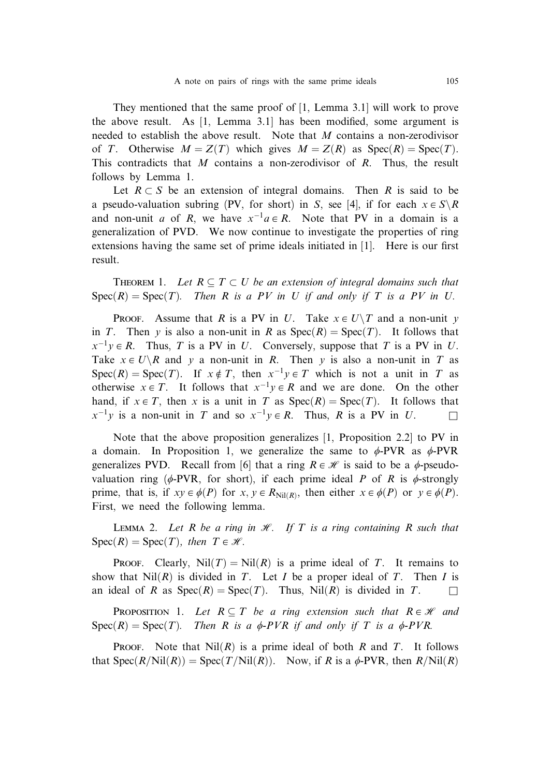They mentioned that the same proof of [1, Lemma 3.1] will work to prove the above result. As [1, Lemma 3.1] has been modified, some argument is needed to establish the above result. Note that M contains a non-zerodivisor of T. Otherwise  $M = Z(T)$  which gives  $M = Z(R)$  as  $Spec(R) = Spec(T)$ . This contradicts that M contains a non-zerodivisor of  $R$ . Thus, the result follows by Lemma 1.

Let  $R \subset S$  be an extension of integral domains. Then R is said to be a pseudo-valuation subring (PV, for short) in S, see [4], if for each  $x \in S \backslash R$ and non-unit a of R, we have  $x^{-1}a \in R$ . Note that PV in a domain is a generalization of PVD. We now continue to investigate the properties of ring extensions having the same set of prime ideals initiated in [1]. Here is our first result.

THEOREM 1. Let  $R \subseteq T \subset U$  be an extension of integral domains such that  $Spec(R) = Spec(T)$ . Then R is a PV in U if and only if T is a PV in U.

**PROOF.** Assume that R is a PV in U. Take  $x \in U \setminus T$  and a non-unit y in T. Then y is also a non-unit in R as  $Spec(R) = Spec(T)$ . It follows that  $x^{-1}y \in R$ . Thus, T is a PV in U. Conversely, suppose that T is a PV in U. Take  $x \in U \backslash R$  and y a non-unit in R. Then y is also a non-unit in T as  $Spec(R) = Spec(T)$ . If  $x \notin T$ , then  $x^{-1}y \in T$  which is not a unit in T as otherwise  $x \in T$ . It follows that  $x^{-1}y \in R$  and we are done. On the other hand, if  $x \in T$ , then x is a unit in T as  $Spec(R) = Spec(T)$ . It follows that  $x^{-1}y$  is a non-unit in T and so  $x^{-1}y \in R$ . Thus, R is a PV in U.

Note that the above proposition generalizes [1, Proposition 2.2] to PV in a domain. In Proposition 1, we generalize the same to  $\phi$ -PVR as  $\phi$ -PVR generalizes PVD. Recall from [6] that a ring  $R \in \mathcal{H}$  is said to be a  $\phi$ -pseudovaluation ring ( $\phi$ -PVR, for short), if each prime ideal P of R is  $\phi$ -strongly prime, that is, if  $xy \in \phi(P)$  for  $x, y \in R_{\text{Nil}(R)}$ , then either  $x \in \phi(P)$  or  $y \in \phi(P)$ . First, we need the following lemma.

LEMMA 2. Let R be a ring in  $\mathcal{H}$ . If T is a ring containing R such that  $Spec(R) = Spec(T)$ , then  $T \in \mathcal{H}$ .

PROOF. Clearly,  $Nil(T) = Nil(R)$  is a prime ideal of T. It remains to show that  $Nil(R)$  is divided in T. Let I be a proper ideal of T. Then I is an ideal of R as  $Spec(R) = Spec(T)$ . Thus, Nil $(R)$  is divided in T.

**PROPOSITION** 1. Let  $R \subseteq T$  be a ring extension such that  $R \in \mathcal{H}$  and  $Spec(R) = Spec(T)$ . Then R is a  $\phi$ -PVR if and only if T is a  $\phi$ -PVR.

**PROOF.** Note that  $Nil(R)$  is a prime ideal of both R and T. It follows that  $Spec(R/Nil(R)) = Spec(T/Nil(R))$ . Now, if R is a  $\phi$ -PVR, then  $R/Nil(R)$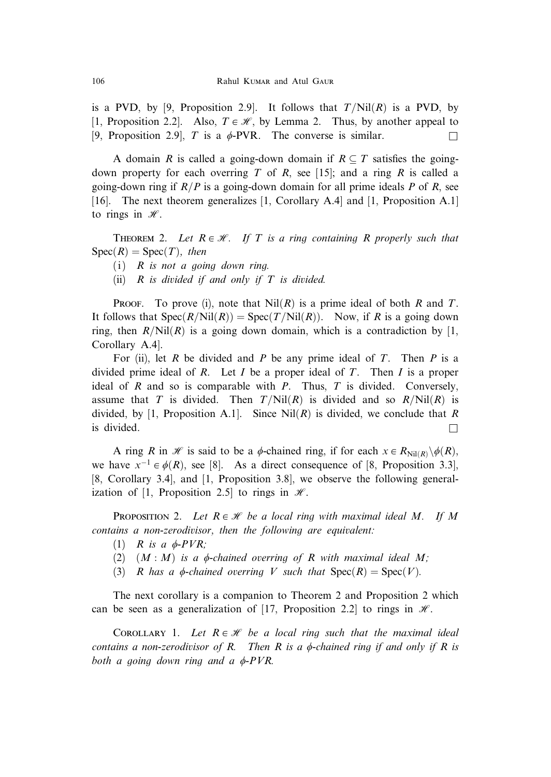is a PVD, by [9, Proposition 2.9]. It follows that  $T/N$ il $(R)$  is a PVD, by [1, Proposition 2.2]. Also,  $T \in \mathcal{H}$ , by Lemma 2. Thus, by another appeal to [9, Proposition 2.9], T is a  $\phi$ -PVR. The converse is similar.

A domain R is called a going-down domain if  $R \subseteq T$  satisfies the goingdown property for each overring T of R, see [15]; and a ring R is called a going-down ring if  $R/P$  is a going-down domain for all prime ideals P of R, see [16]. The next theorem generalizes [1, Corollary A.4] and [1, Proposition A.1] to rings in  $\mathcal{H}$ .

THEOREM 2. Let  $R \in \mathcal{H}$ . If T is a ring containing R properly such that  $Spec(R) = Spec(T)$ , then

- (i)  $R$  is not a going down ring.
- (ii)  $R$  is divided if and only if  $T$  is divided.

PROOF. To prove (i), note that  $Nil(R)$  is a prime ideal of both R and T. It follows that  $Spec(R/Nil(R)) = Spec(T/Nil(R))$ . Now, if R is a going down ring, then  $R/Nil(R)$  is a going down domain, which is a contradiction by [1, Corollary A.4].

For (ii), let R be divided and P be any prime ideal of T. Then P is a divided prime ideal of R. Let I be a proper ideal of T. Then I is a proper ideal of R and so is comparable with P. Thus,  $T$  is divided. Conversely, assume that T is divided. Then  $T/Nil(R)$  is divided and so  $R/Nil(R)$  is divided, by [1, Proposition A.1]. Since  $Nil(R)$  is divided, we conclude that R is divided.  $\Box$ 

A ring R in H is said to be a  $\phi$ -chained ring, if for each  $x \in R_{\text{Nil}(R)} \setminus \phi(R)$ , we have  $x^{-1} \in \phi(R)$ , see [8]. As a direct consequence of [8, Proposition 3.3], [8, Corollary 3.4], and [1, Proposition 3.8], we observe the following generalization of [1, Proposition 2.5] to rings in  $\mathcal{H}$ .

**PROPOSITION 2.** Let  $R \in \mathcal{H}$  be a local ring with maximal ideal M. If M contains a non-zerodivisor, then the following are equivalent:

- (1) R is a  $\phi$ -PVR;
- (2)  $(M : M)$  is a  $\phi$ -chained overring of R with maximal ideal M;
- (3) R has a  $\phi$ -chained overring V such that  $Spec(R) = Spec(V)$ .

The next corollary is a companion to Theorem 2 and Proposition 2 which can be seen as a generalization of [17, Proposition 2.2] to rings in  $\mathcal{H}$ .

COROLLARY 1. Let  $R \in \mathcal{H}$  be a local ring such that the maximal ideal contains a non-zerodivisor of R. Then R is a  $\phi$ -chained ring if and only if R is both a going down ring and a  $\phi$ -PVR.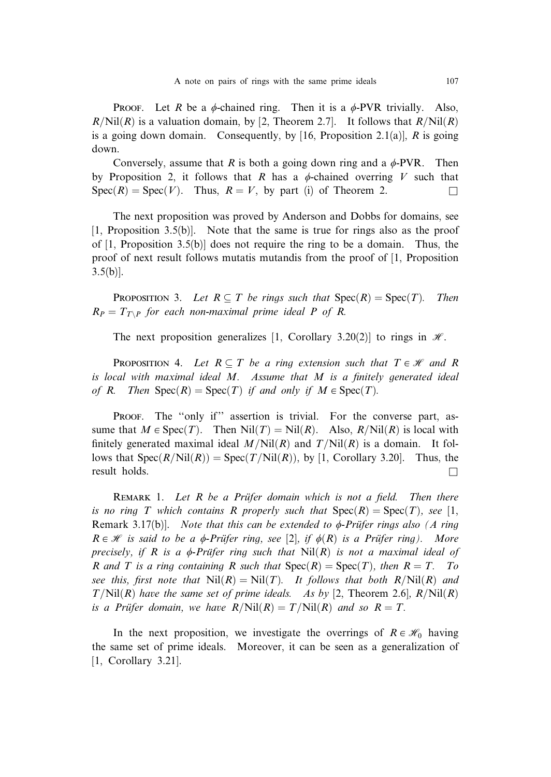**PROOF.** Let R be a  $\phi$ -chained ring. Then it is a  $\phi$ -PVR trivially. Also,  $R/Nil(R)$  is a valuation domain, by [2, Theorem 2.7]. It follows that  $R/Nil(R)$ is a going down domain. Consequently, by [16, Proposition 2.1(a)],  $R$  is going down.

Conversely, assume that R is both a going down ring and a  $\phi$ -PVR. Then by Proposition 2, it follows that R has a  $\phi$ -chained overring V such that  $Spec(R) = Spec(V)$ . Thus,  $R = V$ , by part (i) of Theorem 2.

The next proposition was proved by Anderson and Dobbs for domains, see [1, Proposition 3.5(b)]. Note that the same is true for rings also as the proof of  $[1,$  Proposition 3.5(b)] does not require the ring to be a domain. Thus, the proof of next result follows mutatis mutandis from the proof of [1, Proposition  $3.5(b)$ ].

**PROPOSITION 3.** Let  $R \subseteq T$  be rings such that  $Spec(R) = Spec(T)$ . Then  $R_P = T_{T\setminus P}$  for each non-maximal prime ideal P of R.

The next proposition generalizes [1, Corollary 3.20(2)] to rings in  $H$ .

**PROPOSITION 4.** Let  $R \subseteq T$  be a ring extension such that  $T \in \mathcal{H}$  and R is local with maximal ideal M. Assume that M is a finitely generated ideal of R. Then  $Spec(R) = Spec(T)$  if and only if  $M \in Spec(T)$ .

Proof. The "only if" assertion is trivial. For the converse part, assume that  $M \in \text{Spec}(T)$ . Then  $\text{Nil}(T) = \text{Nil}(R)$ . Also,  $R/\text{Nil}(R)$  is local with finitely generated maximal ideal  $M/Nil(R)$  and  $T/Nil(R)$  is a domain. It follows that  $Spec(R/Nil(R)) = Spec(T/Nil(R))$ , by [1, Corollary 3.20]. Thus, the  $\Box$  result holds.

REMARK 1. Let  $R$  be a Prüfer domain which is not a field. Then there is no ring T which contains R properly such that  $Spec(R) = Spec(T)$ , see [1, Remark 3.17(b)]. Note that this can be extended to  $\phi$ -Prüfer rings also (A ring  $R \in \mathcal{H}$  is said to be a  $\phi$ -Prüfer ring, see [2], if  $\phi(R)$  is a Prüfer ring). More precisely, if R is a  $\phi$ -Prüfer ring such that  $Nil(R)$  is not a maximal ideal of R and T is a ring containing R such that  $Spec(R) = Spec(T)$ , then  $R = T$ . To see this, first note that  $Nil(R) = Nil(T)$ . It follows that both  $R/Nil(R)$  and  $T/Nil(R)$  have the same set of prime ideals. As by [2, Theorem 2.6],  $R/Nil(R)$ is a Prüfer domain, we have  $R/Nil(R) = T/Nil(R)$  and so  $R = T$ .

In the next proposition, we investigate the overrings of  $R \in \mathcal{H}_0$  having the same set of prime ideals. Moreover, it can be seen as a generalization of [1, Corollary 3.21].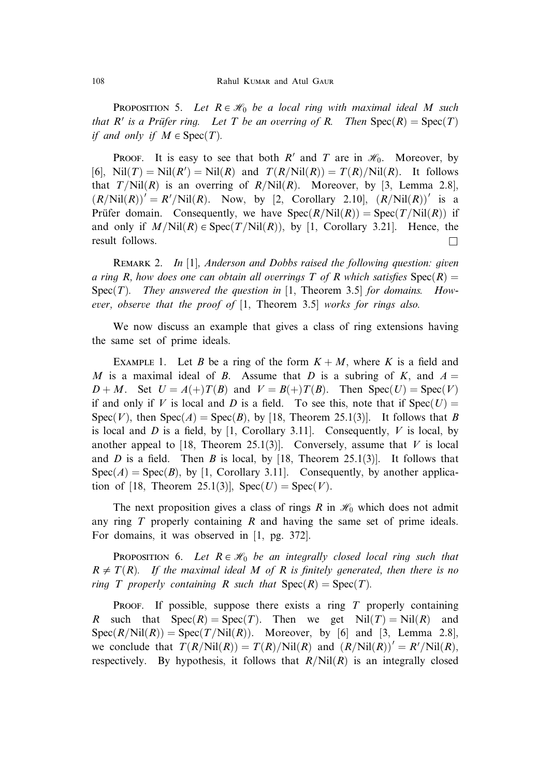**PROPOSITION 5.** Let  $R \in \mathcal{H}_0$  be a local ring with maximal ideal M such that R' is a Prüfer ring. Let T be an overring of R. Then  $Spec(R) = Spec(T)$ if and only if  $M \in \text{Spec}(T)$ .

**PROOF.** It is easy to see that both R' and T are in  $\mathcal{H}_0$ . Moreover, by [6], Nil $(T) = Nil(R') = Nil(R)$  and  $T(R/Nil(R)) = T(R)/Nil(R)$ . It follows that  $T/N$ il $(R)$  is an overring of  $R/N$ il $(R)$ . Moreover, by [3, Lemma 2.8],  $(R/Nil(R))' = R'/Nil(R)$ . Now, by [2, Corollary 2.10],  $(R/Nil(R))'$  is a Prüfer domain. Consequently, we have  $Spec(R/Nil(R)) = Spec(T/Nil(R))$  if and only if  $M/N$ il $(R) \in Spec(T/N$ il $(R)$ ), by [1, Corollary 3.21]. Hence, the result follows.  $\Box$ 

REMARK 2. In [1], Anderson and Dobbs raised the following question: given a ring R, how does one can obtain all overrings T of R which satisfies  $Spec(R)$  $Spec(T)$ . They answered the question in [1, Theorem 3.5] for domains. However, observe that the proof of [1, Theorem 3.5] works for rings also.

We now discuss an example that gives a class of ring extensions having the same set of prime ideals.

EXAMPLE 1. Let B be a ring of the form  $K + M$ , where K is a field and M is a maximal ideal of B. Assume that D is a subring of K, and  $A =$  $D + M$ . Set  $U = A(+)T(B)$  and  $V = B(+)T(B)$ . Then Spec $(U) =$  Spec $(V)$ if and only if V is local and D is a field. To see this, note that if  $Spec(U)$  $Spec(V)$ , then  $Spec(A) = Spec(B)$ , by [18, Theorem 25.1(3)]. It follows that B is local and D is a field, by [1, Corollary 3.11]. Consequently, V is local, by another appeal to [18, Theorem 25.1(3)]. Conversely, assume that  $V$  is local and D is a field. Then B is local, by [18, Theorem 25.1(3)]. It follows that  $Spec(A) = Spec(B)$ , by [1, Corollary 3.11]. Consequently, by another application of [18, Theorem 25.1(3)],  $Spec(U) = Spec(V)$ .

The next proposition gives a class of rings R in  $\mathcal{H}_0$  which does not admit any ring  $T$  properly containing  $R$  and having the same set of prime ideals. For domains, it was observed in [1, pg. 372].

**PROPOSITION 6.** Let  $R \in \mathcal{H}_0$  be an integrally closed local ring such that  $R \neq T(R)$ . If the maximal ideal M of R is finitely generated, then there is no ring T properly containing R such that  $Spec(R) = Spec(T)$ .

PROOF. If possible, suppose there exists a ring  $T$  properly containing R such that  $Spec(R) = Spec(T)$ . Then we get  $Nil(T) = Nil(R)$  and  $Spec(R/Nil(R)) = Spec(T/Nil(R))$ . Moreover, by [6] and [3, Lemma 2.8], we conclude that  $T(R/Nil(R)) = T(R)/Nil(R)$  and  $(R/Nil(R))' = R'/Nil(R)$ , respectively. By hypothesis, it follows that  $R/Nil(R)$  is an integrally closed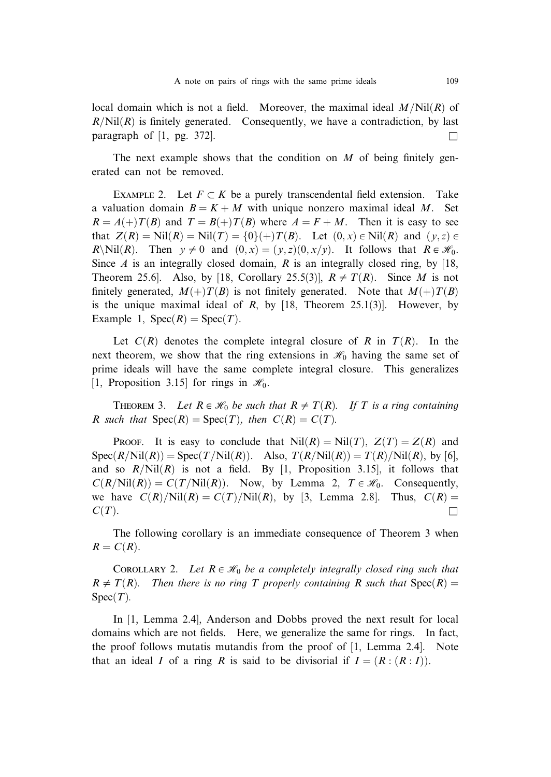local domain which is not a field. Moreover, the maximal ideal  $M/N$ il $(R)$  of  $R/Nil(R)$  is finitely generated. Consequently, we have a contradiction, by last paragraph of  $[1, \text{pg. } 372]$ .

The next example shows that the condition on  $M$  of being finitely generated can not be removed.

EXAMPLE 2. Let  $F \subset K$  be a purely transcendental field extension. Take a valuation domain  $B = K + M$  with unique nonzero maximal ideal M. Set  $R = A(+)T(B)$  and  $T = B(+)T(B)$  where  $A = F + M$ . Then it is easy to see that  $Z(R) = Nil(R) = Nil(T) = \{0\}(+)T(B)$ . Let  $(0, x) \in Nil(R)$  and  $(y, z) \in$ R\Nil $(R)$ . Then  $y \neq 0$  and  $(0, x) = (y, z)(0, x/y)$ . It follows that  $R \in \mathcal{H}_0$ . Since A is an integrally closed domain, R is an integrally closed ring, by  $[18, 18]$ Theorem 25.6]. Also, by [18, Corollary 25.5(3)],  $R \neq T(R)$ . Since M is not finitely generated,  $M(+)T(B)$  is not finitely generated. Note that  $M(+)T(B)$ is the unique maximal ideal of  $R$ , by [18, Theorem 25.1(3)]. However, by Example 1,  $Spec(R) = Spec(T)$ .

Let  $C(R)$  denotes the complete integral closure of R in  $T(R)$ . In the next theorem, we show that the ring extensions in  $\mathcal{H}_0$  having the same set of prime ideals will have the same complete integral closure. This generalizes [1, Proposition 3.15] for rings in  $\mathcal{H}_0$ .

THEOREM 3. Let  $R \in \mathcal{H}_0$  be such that  $R \neq T(R)$ . If T is a ring containing R such that  $Spec(R) = Spec(T)$ , then  $C(R) = C(T)$ .

**Proof.** It is easy to conclude that  $Nil(R) = Nil(T), Z(T) = Z(R)$  and  $Spec(R/Nil(R)) = Spec(T/Nil(R))$ . Also,  $T(R/Nil(R)) = T(R)/Nil(R)$ , by [6], and so  $R/Nil(R)$  is not a field. By [1, Proposition 3.15], it follows that  $C(R/Nil(R)) = C(T/Nil(R))$ . Now, by Lemma 2,  $T \in \mathcal{H}_0$ . Consequently, we have  $C(R)/\text{Nil}(R) = C(T)/\text{Nil}(R)$ , by [3, Lemma 2.8]. Thus,  $C(R) =$  $C(T)$ .

The following corollary is an immediate consequence of Theorem 3 when  $R = C(R)$ .

COROLLARY 2. Let  $R \in \mathcal{H}_0$  be a completely integrally closed ring such that  $R \neq T(R)$ . Then there is no ring T properly containing R such that  $Spec(R) =$  $Spec(T)$ .

In [1, Lemma 2.4], Anderson and Dobbs proved the next result for local domains which are not fields. Here, we generalize the same for rings. In fact, the proof follows mutatis mutandis from the proof of [1, Lemma 2.4]. Note that an ideal I of a ring R is said to be divisorial if  $I = (R : (R : I)).$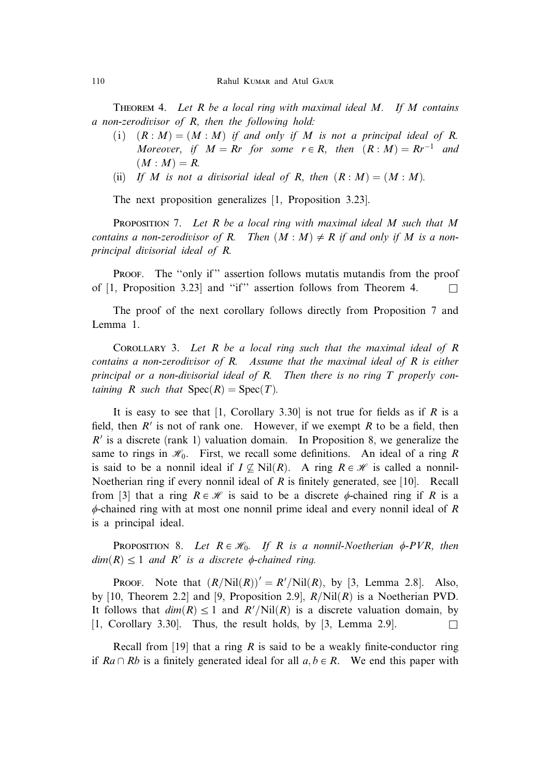THEOREM 4. Let R be a local ring with maximal ideal  $M$ . If  $M$  contains a non-zerodivisor of R, then the following hold:

- (i)  $(R : M) = (M : M)$  if and only if M is not a principal ideal of R. Moreover, if  $M = Rr$  for some  $r \in R$ , then  $(R : M) = Rr^{-1}$  and  $(M: M) = R$ .
- (ii) If M is not a divisorial ideal of R, then  $(R : M) = (M : M)$ .

The next proposition generalizes [1, Proposition 3.23].

**PROPOSITION** 7. Let R be a local ring with maximal ideal M such that M contains a non-zerodivisor of R. Then  $(M : M) \neq R$  if and only if M is a nonprincipal divisorial ideal of R.

PROOF. The "only if" assertion follows mutatis mutandis from the proof of [1, Proposition 3.23] and "if" assertion follows from Theorem 4.  $\Box$ 

The proof of the next corollary follows directly from Proposition 7 and Lemma 1.

COROLLARY 3. Let  $R$  be a local ring such that the maximal ideal of  $R$ contains a non-zerodivisor of R. Assume that the maximal ideal of R is either principal or a non-divisorial ideal of R. Then there is no ring T properly containing R such that  $Spec(R) = Spec(T)$ .

It is easy to see that  $[1,$  Corollary 3.30 is not true for fields as if R is a field, then  $R'$  is not of rank one. However, if we exempt R to be a field, then  $R'$  is a discrete (rank 1) valuation domain. In Proposition 8, we generalize the same to rings in  $\mathcal{H}_0$ . First, we recall some definitions. An ideal of a ring R is said to be a nonnil ideal if  $I \not\subseteq Nil(R)$ . A ring  $R \in \mathcal{H}$  is called a nonnil-Noetherian ring if every nonnil ideal of  $R$  is finitely generated, see [10]. Recall from [3] that a ring  $R \in \mathcal{H}$  is said to be a discrete  $\phi$ -chained ring if R is a  $\phi$ -chained ring with at most one nonnil prime ideal and every nonnil ideal of R is a principal ideal.

**PROPOSITION 8.** Let  $R \in \mathcal{H}_0$ . If R is a nonnil-Noetherian  $\phi$ -PVR, then  $dim(R) \leq 1$  and R' is a discrete  $\phi$ -chained ring.

PROOF. Note that  $(R/Nil(R))' = R'/Nil(R)$ , by [3, Lemma 2.8]. Also, by [10, Theorem 2.2] and [9, Proposition 2.9],  $R/Nil(R)$  is a Noetherian PVD. It follows that  $dim(R) \leq 1$  and  $R'/\text{Nil}(R)$  is a discrete valuation domain, by [1, Corollary 3.30]. Thus, the result holds, by [3, Lemma 2.9].

Recall from [19] that a ring R is said to be a weakly finite-conductor ring if  $Ra \cap Rb$  is a finitely generated ideal for all  $a, b \in R$ . We end this paper with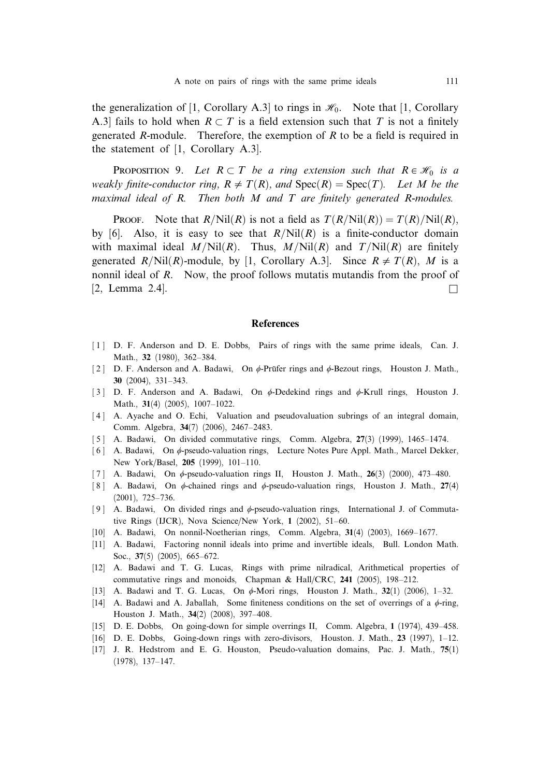the generalization of [1, Corollary A.3] to rings in  $\mathcal{H}_0$ . Note that [1, Corollary A.3] fails to hold when  $R \subset T$  is a field extension such that T is not a finitely generated R-module. Therefore, the exemption of  $R$  to be a field is required in the statement of [1, Corollary A.3].

**PROPOSITION** 9. Let  $R \subset T$  be a ring extension such that  $R \in \mathcal{H}_0$  is a weakly finite-conductor ring,  $R \neq T(R)$ , and  $Spec(R) = Spec(T)$ . Let M be the maximal ideal of R. Then both  $M$  and  $T$  are finitely generated R-modules.

**Proof.** Note that  $R/Nil(R)$  is not a field as  $T(R/Nil(R)) = T(R)/Nil(R)$ , by [6]. Also, it is easy to see that  $R/Nil(R)$  is a finite-conductor domain with maximal ideal  $M/Nil(R)$ . Thus,  $M/Nil(R)$  and  $T/Nil(R)$  are finitely generated  $R/Nil(R)$ -module, by [1, Corollary A.3]. Since  $R \neq T(R)$ , M is a nonnil ideal of R. Now, the proof follows mutatis mutandis from the proof of  $[2, \text{ Lemma } 2.4].$ 

## **References**

- [1] D. F. Anderson and D. E. Dobbs. Pairs of rings with the same prime ideals. Can. J. Math., 32 (1980), 362–384.
- [ 2 ] D. F. Anderson and A. Badawi, On  $\phi$ -Prüfer rings and  $\phi$ -Bezout rings, Houston J. Math., 30 (2004), 331–343.
- [3] D. F. Anderson and A. Badawi, On  $\phi$ -Dedekind rings and  $\phi$ -Krull rings, Houston J. Math., 31(4) (2005), 1007–1022.
- [4] A. Ayache and O. Echi, Valuation and pseudovaluation subrings of an integral domain, Comm. Algebra, 34(7) (2006), 2467–2483.
- [5] A. Badawi, On divided commutative rings, Comm. Algebra, 27(3) (1999), 1465-1474.
- [6] A. Badawi, On  $\phi$ -pseudo-valuation rings, Lecture Notes Pure Appl. Math., Marcel Dekker, New York/Basel, 205 (1999), 101–110.
- [7] A. Badawi, On  $\phi$ -pseudo-valuation rings II, Houston J. Math., 26(3) (2000), 473–480.
- [8] A. Badawi, On  $\phi$ -chained rings and  $\phi$ -pseudo-valuation rings, Houston J. Math., 27(4) (2001), 725–736.
- [9] A. Badawi, On divided rings and  $\phi$ -pseudo-valuation rings, International J. of Commutative Rings (IJCR), Nova Science/New York, 1 (2002), 51–60.
- [10] A. Badawi, On nonnil-Noetherian rings, Comm. Algebra, 31(4) (2003), 1669–1677.
- [11] A. Badawi, Factoring nonnil ideals into prime and invertible ideals, Bull. London Math. Soc., 37(5) (2005), 665–672.
- [12] A. Badawi and T. G. Lucas, Rings with prime nilradical, Arithmetical properties of commutative rings and monoids, Chapman & Hall/CRC, 241 (2005), 198–212.
- [13] A. Badawi and T. G. Lucas, On  $\phi$ -Mori rings, Houston J. Math., 32(1) (2006), 1-32.
- [14] A. Badawi and A. Jaballah, Some finiteness conditions on the set of overrings of a  $\phi$ -ring, Houston J. Math., 34(2) (2008), 397–408.
- [15] D. E. Dobbs, On going-down for simple overrings II, Comm. Algebra, 1 (1974), 439–458.
- [16] D. E. Dobbs, Going-down rings with zero-divisors, Houston. J. Math., 23 (1997), 1–12.
- [17] J. R. Hedstrom and E. G. Houston, Pseudo-valuation domains, Pac. J. Math., 75(1) (1978), 137–147.